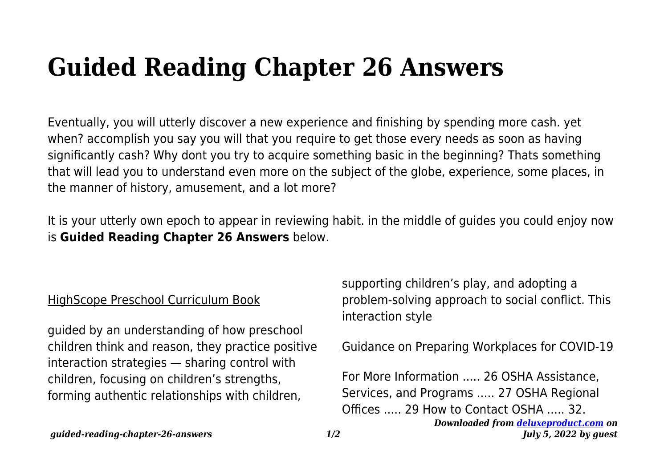## **Guided Reading Chapter 26 Answers**

Eventually, you will utterly discover a new experience and finishing by spending more cash. yet when? accomplish you say you will that you require to get those every needs as soon as having significantly cash? Why dont you try to acquire something basic in the beginning? Thats something that will lead you to understand even more on the subject of the globe, experience, some places, in the manner of history, amusement, and a lot more?

It is your utterly own epoch to appear in reviewing habit. in the middle of guides you could enjoy now is **Guided Reading Chapter 26 Answers** below.

## HighScope Preschool Curriculum Book

guided by an understanding of how preschool children think and reason, they practice positive interaction strategies — sharing control with children, focusing on children's strengths, forming authentic relationships with children,

supporting children's play, and adopting a problem-solving approach to social conflict. This interaction style

## Guidance on Preparing Workplaces for COVID-19

*Downloaded from [deluxeproduct.com](http://deluxeproduct.com) on* For More Information ..... 26 OSHA Assistance, Services, and Programs ..... 27 OSHA Regional Offices ..... 29 How to Contact OSHA ..... 32.